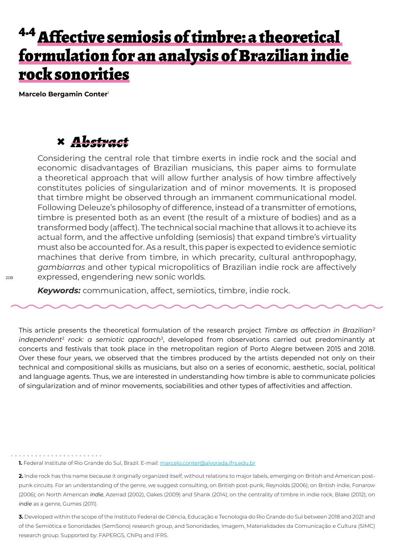## <sup>4.4</sup> Affective semiosis of timbre: a theoretical formulation for an analysis of Brazilian indie rock sonorities

**Marcelo Bergamin Conter**<sup>1</sup>

## **×** *Abstract*

Considering the central role that timbre exerts in indie rock and the social and economic disadvantages of Brazilian musicians, this paper aims to formulate a theoretical approach that will allow further analysis of how timbre affectively constitutes policies of singularization and of minor movements. It is proposed that timbre might be observed through an immanent communicational model. Following Deleuze's philosophy of difference, instead of a transmitter of emotions, timbre is presented both as an event (the result of a mixture of bodies) and as a transformed body (affect). The technical social machine that allows it to achieve its actual form, and the affective unfolding (semiosis) that expand timbre's virtuality must also be accounted for. As a result, this paper is expected to evidence semiotic machines that derive from timbre, in which precarity, cultural anthropophagy, *gambiarras* and other typical micropolitics of Brazilian indie rock are affectively expressed, engendering new sonic worlds.

*Keywords:* communication, affect, semiotics, timbre, indie rock.

This article presents the theoretical formulation of the research project *Timbre as affection in Brazilian² independent*<sup>2</sup>  *rock: a semiotic approach*<sup>3</sup> , developed from observations carried out predominantly at concerts and festivals that took place in the metropolitan region of Porto Alegre between 2015 and 2018. Over these four years, we observed that the timbres produced by the artists depended not only on their technical and compositional skills as musicians, but also on a series of economic, aesthetic, social, political and language agents. Thus, we are interested in understanding how timbre is able to communicate policies of singularization and of minor movements, sociabilities and other types of affectivities and affection.

**3.** Developed within the scope of the Instituto Federal de Ciência, Educação e Tecnologia do Rio Grande do Sul between 2018 and 2021 and of the Semiótica e Sonoridades (SemSono) research group, and Sonoridades, Imagem, Materialidades da Comunicação e Cultura (SIMC) research group. Supported by: FAPERGS, CNPq and IFRS.

**<sup>1.</sup>** Federal Institute of Rio Grande do Sul, Brazil. E-mail: marcelo.conter@alvorada.ifrs.edu.br

**<sup>2.</sup>** Indie rock has this name because it originally organized itself, without relations to major labels, emerging on British and American postpunk circuits. For an understanding of the genre, we suggest consulting, on British post-punk, Reynolds (2006); on British indie, Fonarow (2006); on North American *indie*, Azerrad (2002), Oakes (2009) and Shank (2014); on the centrality of timbre in indie rock, Blake (2012); on *indie* as a genre, Gumes (2011).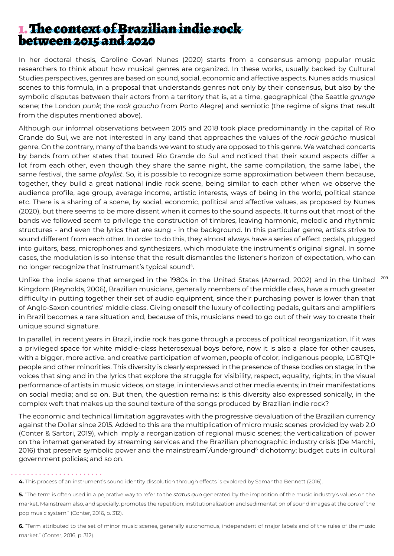## 1. The context of Brazilian indie rock between 2015 and 2020

In her doctoral thesis, Caroline Govari Nunes (2020) starts from a consensus among popular music researchers to think about how musical genres are organized. In these works, usually backed by Cultural Studies perspectives, genres are based on sound, social, economic and affective aspects. Nunes adds musical scenes to this formula, in a proposal that understands genres not only by their consensus, but also by the symbolic disputes between their actors from a territory that is, at a time, geographical (the Seattle *grunge*  scene; the London *punk*; the *rock gaucho* from Porto Alegre) and semiotic (the regime of signs that result from the disputes mentioned above).

Although our informal observations between 2015 and 2018 took place predominantly in the capital of Rio Grande do Sul, we are not interested in any band that approaches the values of the *rock gaúcho* musical genre. On the contrary, many of the bands we want to study are opposed to this genre. We watched concerts by bands from other states that toured Rio Grande do Sul and noticed that their sound aspects differ a lot from each other, even though they share the same night, the same compilation, the same label, the same festival, the same *playlist*. So, it is possible to recognize some approximation between them because, together, they build a great national indie rock scene, being similar to each other when we observe the audience profile, age group, average income, artistic interests, ways of being in the world, political stance etc. There is a sharing of a scene, by social, economic, political and affective values, as proposed by Nunes (2020), but there seems to be more dissent when it comes to the sound aspects. It turns out that most of the bands we followed seem to privilege the construction of timbres, leaving harmonic, melodic and rhythmic structures - and even the lyrics that are sung - in the background. In this particular genre, artists strive to sound different from each other. In order to do this, they almost always have a series of effect pedals, plugged into guitars, bass, microphones and synthesizers, which modulate the instrument's original signal. In some cases, the modulation is so intense that the result dismantles the listener's horizon of expectation, who can no longer recognize that instrument's typical sound<sup>4</sup>.

Unlike the indie scene that emerged in the 1980s in the United States (Azerrad, 2002) and in the United <sup>209</sup> Kingdom (Reynolds, 2006), Brazilian musicians, generally members of the middle class, have a much greater difficulty in putting together their set of audio equipment, since their purchasing power is lower than that of Anglo-Saxon countries' middle class. Giving oneself the luxury of collecting pedals, guitars and amplifiers in Brazil becomes a rare situation and, because of this, musicians need to go out of their way to create their unique sound signature.

In parallel, in recent years in Brazil, indie rock has gone through a process of political reorganization. If it was a privileged space for white middle-class heterosexual boys before, now it is also a place for other causes, with a bigger, more active, and creative participation of women, people of color, indigenous people, LGBTQI+ people and other minorities. This diversity is clearly expressed in the presence of these bodies on stage; in the voices that sing and in the lyrics that explore the struggle for visibility, respect, equality, rights; in the visual performance of artists in music videos, on stage, in interviews and other media events; in their manifestations on social media; and so on. But then, the question remains: is this diversity also expressed sonically, in the complex weft that makes up the sound texture of the songs produced by Brazilian indie rock?

The economic and technical limitation aggravates with the progressive devaluation of the Brazilian currency against the Dollar since 2015. Added to this are the multiplication of micro music scenes provided by web 2.0 (Conter & Sartori, 2019), which imply a reorganization of regional music scenes; the verticalization of power on the internet generated by streaming services and the Brazilian phonographic industry crisis (De Marchi, 2016) that preserve symbolic power and the mainstream<sup>5</sup> */*underground6 dichotomy; budget cuts in cultural government policies; and so on.

**6.** "Term attributed to the set of minor music scenes, generally autonomous, independent of major labels and of the rules of the music market." (Conter, 2016, p. 312).

**<sup>4.</sup>** This process of an instrument's sound identity dissolution through effects is explored by Samantha Bennett (2016).

**<sup>5.</sup>** "The term is often used in a pejorative way to refer to the *status quo* generated by the imposition of the music industry's values on the market. Mainstream also, and specially, promotes the repetition, institutionalization and sedimentation of sound images at the core of the pop music system." (Conter, 2016, p. 312).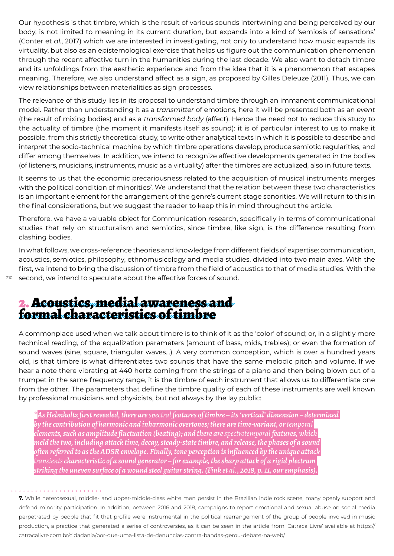Our hypothesis is that timbre, which is the result of various sounds intertwining and being perceived by our body, is not limited to meaning in its current duration, but expands into a kind of 'semiosis of sensations' (Conter et *al.*, 2017) which we are interested in investigating, not only to understand how music expands its virtuality, but also as an epistemological exercise that helps us figure out the communication phenomenon through the recent affective turn in the humanities during the last decade. We also want to detach timbre and its unfoldings from the aesthetic experience and from the idea that it is a phenomenon that escapes meaning. Therefore, we also understand affect as a sign, as proposed by Gilles Deleuze (2011). Thus, we can view relationships between materialities as sign processes.

The relevance of this study lies in its proposal to understand timbre through an immanent communicational model. Rather than understanding it as a *transmitter* of emotions, here it will be presented both as an *event*  (the result of mixing bodies) and as a *transformed body* (affect). Hence the need not to reduce this study to the actuality of timbre (the moment it manifests itself as sound): it is of particular interest to us to make it possible, from this strictly theoretical study, to write other analytical texts in which it is possible to describe and interpret the socio-technical machine by which timbre operations develop, produce semiotic regularities, and differ among themselves. In addition, we intend to recognize affective developments generated in the bodies (of listeners, musicians, instruments, music as a virtuality) after the timbres are actualized, also in future texts.

It seems to us that the economic precariousness related to the acquisition of musical instruments merges with the political condition of minorities<sup>7</sup> . We understand that the relation between these two characteristics is an important element for the arrangement of the genre's current stage sonorities. We will return to this in the final considerations, but we suggest the reader to keep this in mind throughout the article.

Therefore, we have a valuable object for Communication research, specifically in terms of communicational studies that rely on structuralism and semiotics, since timbre, like sign, is the difference resulting from clashing bodies.

In what follows, we cross-reference theories and knowledge from different fields of expertise: communication, acoustics, semiotics, philosophy, ethnomusicology and media studies, divided into two main axes. With the first, we intend to bring the discussion of timbre from the field of acoustics to that of media studies. With the second, we intend to speculate about the affective forces of sound.

# 2. Acoustics, medial awareness and formal characteristics of timbre

A commonplace used when we talk about timbre is to think of it as the 'color' of sound; or, in a slightly more technical reading, of the equalization parameters (amount of bass, mids, trebles); or even the formation of sound waves (sine, square, triangular waves...). A very common conception, which is over a hundred years old, is that timbre is what differentiates two sounds that have the same melodic pitch and volume. If we hear a note there vibrating at 440 hertz coming from the strings of a piano and then being blown out of a trumpet in the same frequency range, it is the timbre of each instrument that allows us to differentiate one from the other. The parameters that define the timbre quality of each of these instruments are well known by professional musicians and physicists, but not always by the lay public:

*\*As Helmholtz first revealed, there are spectral features of timbre – its 'vertical' dimension – determined by the contribution of harmonic and inharmonic overtones; there are time-variant, or temporal elements, such as amplitude fluctuation (beating); and there are spectrotemporal features, which meld the two, including attack time, decay, steady-state timbre, and release, the phases of a sound often referred to as the ADSR envelope. Finally, tone perception is influenced by the unique attack transients characteristic of a sound generator – for example, the sharp attack of a rigid plectrum striking the uneven surface of a wound steel guitar string. (Fink et al., 2018, p. 11, our emphasis).*

**7.** While heterosexual, middle- and upper-middle-class white men persist in the Brazilian indie rock scene, many openly support and defend minority participation. In addition, between 2016 and 2018, campaigns to report emotional and sexual abuse on social media perpetrated by people that fit that profile were instrumental in the political rearrangement of the group of people involved in music production, a practice that generated a series of controversies, as it can be seen in the article from 'Catraca Livre' available at https:// catracalivre.com.br/cidadania/por-que-uma-lista-de-denuncias-contra-bandas-gerou-debate-na-web/.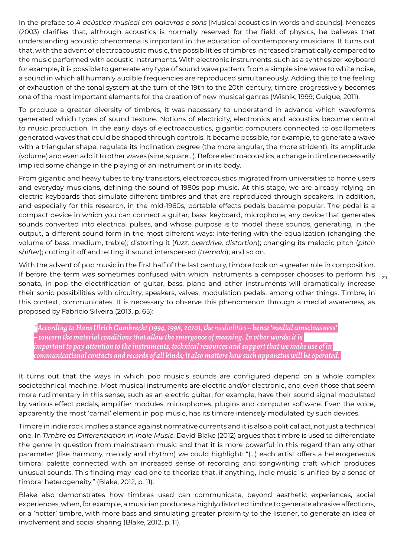In the preface to *A acústica musical em palavras e sons* [Musical acoustics in words and sounds], Menezes (2003) clarifies that, although acoustics is normally reserved for the field of physics, he believes that understanding acoustic phenomena is important in the education of contemporary musicians. It turns out that, with the advent of electroacoustic music, the possibilities of timbres increased dramatically compared to the music performed with acoustic instruments. With electronic instruments, such as a synthesizer keyboard for example, it is possible to generate any type of sound wave pattern, from a simple sine wave to white noise, a sound in which all humanly audible frequencies are reproduced simultaneously. Adding this to the feeling of exhaustion of the tonal system at the turn of the 19th to the 20th century, timbre progressively becomes one of the most important elements for the creation of new musical genres (Wisnik, 1999; Guigue, 2011).

To produce a greater diversity of timbres, it was necessary to understand in advance which waveforms generated which types of sound texture. Notions of electricity, electronics and acoustics become central to music production. In the early days of electroacoustics, gigantic computers connected to oscillometers generated waves that could be shaped through controls. It became possible, for example, to generate a wave with a triangular shape, regulate its inclination degree (the more angular, the more strident), its amplitude (volume) and even add it to other waves (sine, square...). Before electroacoustics, a change in timbre necessarily implied some change in the playing of an instrument or in its body.

From gigantic and heavy tubes to tiny transistors, electroacoustics migrated from universities to home users and everyday musicians, defining the sound of 1980s pop music. At this stage, we are already relying on electric keyboards that simulate different timbres and that are reproduced through speakers. In addition, and especially for this research, in the mid-1960s, portable effects pedals became popular. The pedal is a compact device in which you can connect a guitar, bass, keyboard, microphone, any device that generates sounds converted into electrical pulses, and whose purpose is to model these sounds, generating, in the output, a different sound form in the most different ways: interfering with the equalization (changing the volume of bass, medium, treble); distorting it (*fuzz, overdrive, distortion*); changing its melodic pitch (*pitch shifter*); cutting it off and letting it sound interspersed (*tremolo*); and so on.

If before the term was sometimes confused with which instruments a composer chooses to perform his  $\;\;$   $_{\rm 211}$ With the advent of pop music in the first half of the last century, timbre took on a greater role in composition. sonata, in pop the electrification of guitar, bass, piano and other instruments will dramatically increase their sonic possibilities with circuitry, speakers, valves, modulation pedals, among other things. Timbre, in this context, communicates. It is necessary to observe this phenomenon through a medial awareness, as proposed by Fabrício Silveira (2013, p. 65):

*\*According to Hans Ulrich Gumbrecht (1994, 1998, 2010), the medialities – hence 'medial consciousness' – concern the material conditions that allow the emergence of meaning. In other words: it is important to pay attention to the instruments, technical resources and support that we make use of in communicational contacts and records of all kinds; it also matters how such apparatus will be operated.* 

It turns out that the ways in which pop music's sounds are configured depend on a whole complex sociotechnical machine. Most musical instruments are electric and/or electronic, and even those that seem more rudimentary in this sense, such as an electric guitar, for example, have their sound signal modulated by various effect pedals, amplifier modules, microphones, plugins and computer software. Even the voice, apparently the most 'carnal' element in pop music, has its timbre intensely modulated by such devices.

Timbre in indie rock implies a stance against normative currents and it is also a political act, not just a technical one. In *Timbre as Differentiation in Indie Music*, David Blake (2012) argues that timbre is used to differentiate the genre in question from mainstream music and that it is more powerful in this regard than any other parameter (like harmony, melody and rhythm) we could highlight: "(...) each artist offers a heterogeneous timbral palette connected with an increased sense of recording and songwriting craft which produces unusual sounds. This finding may lead one to theorize that, if anything, indie music is unified by a sense of timbral heterogeneity." (Blake, 2012, p. 11).

Blake also demonstrates how timbres used can communicate, beyond aesthetic experiences, social experiences, when, for example, a musician produces a highly distorted timbre to generate abrasive affections, or a 'hotter' timbre, with more bass and simulating greater proximity to the listener, to generate an idea of involvement and social sharing (Blake, 2012, p. 11).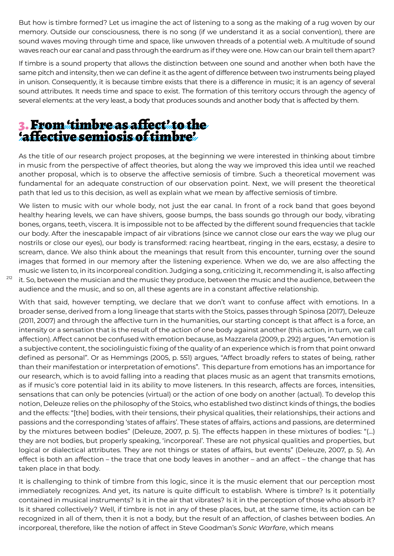But how is timbre formed? Let us imagine the act of listening to a song as the making of a rug woven by our memory. Outside our consciousness, there is no song (if we understand it as a social convention), there are sound waves moving through time and space, like unwoven threads of a potential web. A multitude of sound waves reach our ear canal and pass through the eardrum as if they were one. How can our brain tell them apart?

If timbre is a sound property that allows the distinction between one sound and another when both have the same pitch and intensity, then we can define it as the agent of difference between two instruments being played in unison. Consequently, it is because timbre exists that there is a difference in music; it is an agency of several sound attributes. It needs time and space to exist. The formation of this territory occurs through the agency of several elements: at the very least, a body that produces sounds and another body that is affected by them.

## 3. From 'timbre as affect' to the 'affective semiosis of timbre'

As the title of our research project proposes, at the beginning we were interested in thinking about timbre in music from the perspective of affect theories, but along the way we improved this idea until we reached another proposal, which is to observe the affective semiosis of timbre. Such a theoretical movement was fundamental for an adequate construction of our observation point. Next, we will present the theoretical path that led us to this decision, as well as explain what we mean by affective semiosis of timbre.

We listen to music with our whole body, not just the ear canal. In front of a rock band that goes beyond healthy hearing levels, we can have shivers, goose bumps, the bass sounds go through our body, vibrating bones, organs, teeth, viscera. It is impossible not to be affected by the different sound frequencies that tackle our body. After the inescapable impact of air vibrations (since we cannot close our ears the way we plug our nostrils or close our eyes), our body is transformed: racing heartbeat, ringing in the ears, ecstasy, a desire to scream, dance. We also think about the meanings that result from this encounter, turning over the sound images that formed in our memory after the listening experience. When we do, we are also affecting the music we listen to, in its incorporeal condition. Judging a song, criticizing it, recommending it, is also affecting it. So, between the musician and the music they produce, between the music and the audience, between the audience and the music, and so on, all these agents are in a constant affective relationship.

212

With that said, however tempting, we declare that we don't want to confuse affect with emotions. In a broader sense, derived from a long lineage that starts with the Stoics, passes through Spinosa (2017), Deleuze (2011, 2007) and through the affective turn in the humanities, our starting concept is that affect is a force, an intensity or a sensation that is the result of the action of one body against another (this action, in turn, we call affection). Affect cannot be confused with emotion because, as Mazzarela (2009, p. 292) argues, "An emotion is a subjective content, the sociolinguistic fixing of the quality of an experience which is from that point onward defined as personal". Or as Hemmings (2005, p. 551) argues, "Affect broadly refers to states of being, rather than their manifestation or interpretation of emotions". This departure from emotions has an importance for our research, which is to avoid falling into a reading that places music as an agent that transmits emotions, as if music's core potential laid in its ability to move listeners. In this research, affects are forces, intensities, sensations that can only be potencies (virtual) or the action of one body on another (actual). To develop this notion, Deleuze relies on the philosophy of the Stoics, who established two distinct kinds of things, the bodies and the effects: "[the] bodies, with their tensions, their physical qualities, their relationships, their actions and passions and the corresponding 'states of affairs'. These states of affairs, actions and passions, are determined by the mixtures between bodies" (Deleuze, 2007, p. 5). The effects happen in these mixtures of bodies: "(...) they are not bodies, but properly speaking, 'incorporeal'. These are not physical qualities and properties, but logical or dialectical attributes. They are not things or states of affairs, but events" (Deleuze, 2007, p. 5). An effect is both an affection – the trace that one body leaves in another – and an affect – the change that has taken place in that body.

It is challenging to think of timbre from this logic, since it is the music element that our perception most immediately recognizes. And yet, its nature is quite difficult to establish. Where is timbre? Is it potentially contained in musical instruments? Is it in the air that vibrates? Is it in the perception of those who absorb it? Is it shared collectively? Well, if timbre is not in any of these places, but, at the same time, its action can be recognized in all of them, then it is not a body, but the result of an affection, of clashes between bodies. An incorporeal, therefore, like the notion of affect in Steve Goodman's *Sonic Warfare*, which means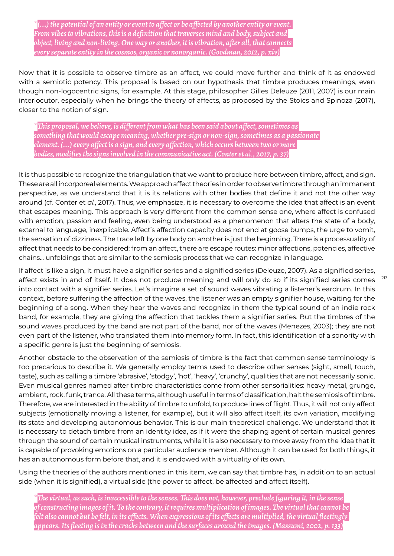*\*(...) the potential of an entity or event to affect or be affected by another entity or event. From vibes to vibrations, this is a definition that traverses mind and body, subject and object, living and non-living. One way or another, it is vibration, after all, that connects every separate entity in the cosmos, organic or nonorganic. (Goodman, 2012, p. xiv)*

Now that it is possible to observe timbre as an affect, we could move further and think of it as endowed with a semiotic potency. This proposal is based on our hypothesis that timbre produces meanings, even though non-logocentric signs, for example. At this stage, philosopher Gilles Deleuze (2011, 2007) is our main interlocutor, especially when he brings the theory of affects, as proposed by the Stoics and Spinoza (2017), closer to the notion of sign.

*\*This proposal, we believe, is different from what has been said about affect, sometimes as something that would escape meaning, whether pre-sign or non-sign, sometimes as a passionate element. (...) every affect is a sign, and every affection, which occurs between two or more bodies, modifies the signs involved in the communicative act. (Conter et al., 2017, p. 37)*

It is thus possible to recognize the triangulation that we want to produce here between timbre, affect, and sign. These are all incorporeal elements. We approach affect theories in order to observe timbre through an immanent perspective, as we understand that it is its relations with other bodies that define it and not the other way around (cf. Conter et *al.*, 2017). Thus, we emphasize, it is necessary to overcome the idea that affect is an event that escapes meaning. This approach is very different from the common sense one, where affect is confused with emotion, passion and feeling, even being understood as a phenomenon that alters the state of a body, external to language, inexplicable. Affect's affection capacity does not end at goose bumps, the urge to vomit, the sensation of dizziness. The trace left by one body on another is just the beginning. There is a processuality of affect that needs to be considered: from an affect, there are escape routes: minor affections, potencies, affective chains... unfoldings that are similar to the semiosis process that we can recognize in language.

If affect is like a sign, it must have a signifier series and a signified series (Deleuze, 2007). As a signified series, affect exists in and of itself. It does not produce meaning and will only do so if its signified series comes into contact with a signifier series. Let's imagine a set of sound waves vibrating a listener's eardrum. In this context, before suffering the affection of the waves, the listener was an empty signifier house, waiting for the beginning of a song. When they hear the waves and recognize in them the typical sound of an indie rock band, for example, they are giving the affection that tackles them a signifier series. But the timbres of the sound waves produced by the band are not part of the band, nor of the waves (Menezes, 2003); they are not even part of the listener, who translated them into memory form. In fact, this identification of a sonority with a specific genre is just the beginning of semiosis.

Another obstacle to the observation of the semiosis of timbre is the fact that common sense terminology is too precarious to describe it. We generally employ terms used to describe other senses (sight, smell, touch, taste), such as calling a timbre 'abrasive', 'stodgy', 'hot', 'heavy', 'crunchy', qualities that are not necessarily sonic. Even musical genres named after timbre characteristics come from other sensorialities: heavy metal, grunge, ambient, rock, funk, trance. All these terms, although useful in terms of classification, halt the semiosis of timbre. Therefore, we are interested in the ability of timbre to unfold, to produce lines of flight. Thus, it will not only affect subjects (emotionally moving a listener, for example), but it will also affect itself, its own variation, modifying its state and developing autonomous behavior. This is our main theoretical challenge. We understand that it is necessary to detach timbre from an identity idea, as if it were the shaping agent of certain musical genres through the sound of certain musical instruments, while it is also necessary to move away from the idea that it is capable of provoking emotions on a particular audience member. Although it can be used for both things, it has an autonomous form before that, and it is endowed with a virtuality of its own.

Using the theories of the authors mentioned in this item, we can say that timbre has, in addition to an actual side (when it is signified), a virtual side (the power to affect, be affected and affect itself).

*\*The virtual, as such, is inaccessible to the senses. This does not, however, preclude figuring it, in the sense of constructing images of it. To the contrary, it requires multiplication of images. The virtual that cannot be felt also cannot but be felt, in its effects. When expressions of its effects are multiplied, the virtual fleetingly appears. Its fleeting is in the cracks between and the surfaces around the images. (Massumi, 2002, p. 133)*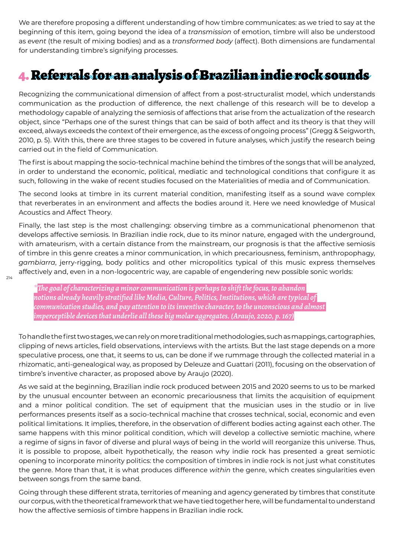We are therefore proposing a different understanding of how timbre communicates: as we tried to say at the beginning of this item, going beyond the idea of a *transmission* of emotion, timbre will also be understood as *event* (the result of mixing bodies) and as a *transformed body* (affect). Both dimensions are fundamental for understanding timbre's signifying processes.

## 4. Referrals for an analysis of Brazilian indie rock sounds

Recognizing the communicational dimension of affect from a post-structuralist model, which understands communication as the production of difference, the next challenge of this research will be to develop a methodology capable of analyzing the semiosis of affections that arise from the actualization of the research object, since "Perhaps one of the surest things that can be said of both affect and its theory is that they will exceed, always exceeds the context of their emergence, as the excess of ongoing process" (Gregg & Seigworth, 2010, p. 5). With this, there are three stages to be covered in future analyses, which justify the research being carried out in the field of Communication.

The first is about mapping the socio-technical machine behind the timbres of the songs that will be analyzed, in order to understand the economic, political, mediatic and technological conditions that configure it as such, following in the wake of recent studies focused on the Materialities of media and of Communication.

The second looks at timbre in its current material condition, manifesting itself as a sound wave complex that reverberates in an environment and affects the bodies around it. Here we need knowledge of Musical Acoustics and Affect Theory.

Finally, the last step is the most challenging: observing timbre as a communicational phenomenon that develops affective semiosis. In Brazilian indie rock, due to its minor nature, engaged with the underground, with amateurism, with a certain distance from the mainstream, our prognosis is that the affective semiosis of timbre in this genre creates a minor communication, in which precariousness, feminism, anthropophagy, *gambiarra*, jerry-rigging, body politics and other micropolitics typical of this music express themselves affectively and, even in a non-logocentric way, are capable of engendering new possible sonic worlds:

*\*The goal of characterizing a minor communication is perhaps to shift the focus, to abandon notions already heavily stratified like Media, Culture, Politics, Institutions, which are typical of communication studies, and pay attention to its inventive character, to the unconscious and almost imperceptible devices that underlie all these big molar aggregates. (Araujo, 2020, p. 167)*

To handle the first two stages, we can rely on more traditional methodologies, such as mappings, cartographies, clipping of news articles, field observations, interviews with the artists. But the last stage depends on a more speculative process, one that, it seems to us, can be done if we rummage through the collected material in a rhizomatic, anti-genealogical way, as proposed by Deleuze and Guattari (2011), focusing on the observation of timbre's inventive character, as proposed above by Araujo (2020).

As we said at the beginning, Brazilian indie rock produced between 2015 and 2020 seems to us to be marked by the unusual encounter between an economic precariousness that limits the acquisition of equipment and a minor political condition. The set of equipment that the musician uses in the studio or in live performances presents itself as a socio-technical machine that crosses technical, social, economic and even political limitations. It implies, therefore, in the observation of different bodies acting against each other. The same happens with this minor political condition, which will develop a collective semiotic machine, where a regime of signs in favor of diverse and plural ways of being in the world will reorganize this universe. Thus, it is possible to propose, albeit hypothetically, the reason why indie rock has presented a great semiotic opening to incorporate minority politics: the composition of timbres in indie rock is not just what constitutes the genre. More than that, it is what produces difference *within* the genre, which creates singularities even between songs from the same band.

Going through these different strata, territories of meaning and agency generated by timbres that constitute our corpus, with the theoretical framework that we have tied together here, will be fundamental to understand how the affective semiosis of timbre happens in Brazilian indie rock.